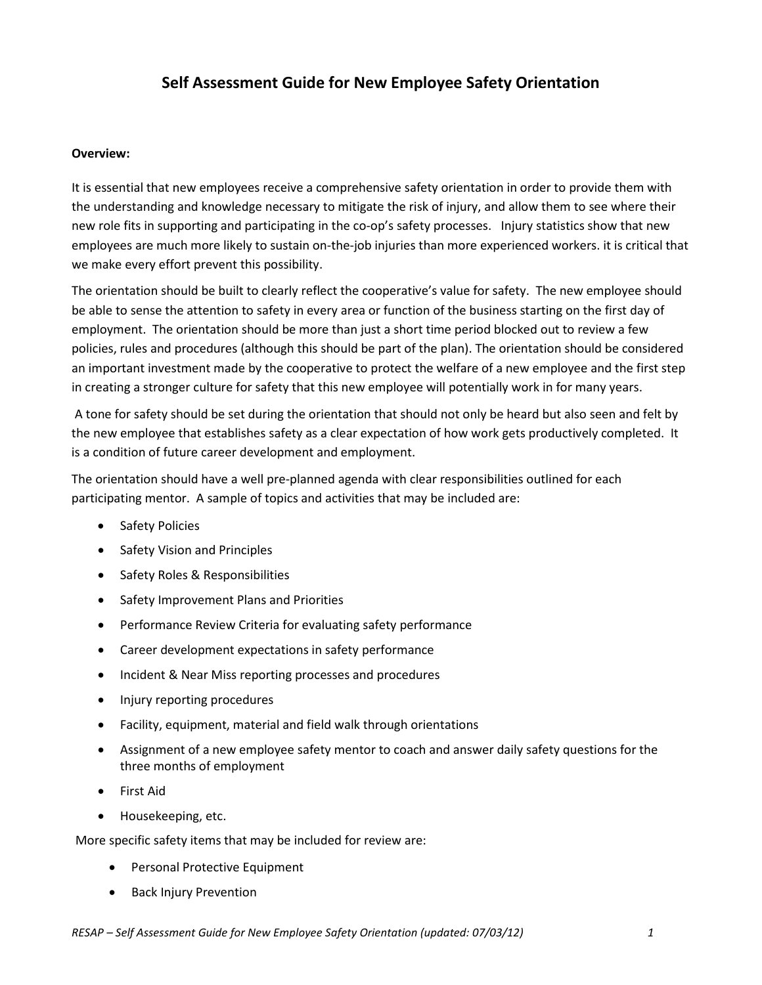## **Self Assessment Guide for New Employee Safety Orientation**

## **Overview:**

It is essential that new employees receive a comprehensive safety orientation in order to provide them with the understanding and knowledge necessary to mitigate the risk of injury, and allow them to see where their new role fits in supporting and participating in the co-op's safety processes. Injury statistics show that new employees are much more likely to sustain on-the-job injuries than more experienced workers. it is critical that we make every effort prevent this possibility.

The orientation should be built to clearly reflect the cooperative's value for safety. The new employee should be able to sense the attention to safety in every area or function of the business starting on the first day of employment. The orientation should be more than just a short time period blocked out to review a few policies, rules and procedures (although this should be part of the plan). The orientation should be considered an important investment made by the cooperative to protect the welfare of a new employee and the first step in creating a stronger culture for safety that this new employee will potentially work in for many years.

A tone for safety should be set during the orientation that should not only be heard but also seen and felt by the new employee that establishes safety as a clear expectation of how work gets productively completed. It is a condition of future career development and employment.

The orientation should have a well pre-planned agenda with clear responsibilities outlined for each participating mentor. A sample of topics and activities that may be included are:

- Safety Policies
- Safety Vision and Principles
- Safety Roles & Responsibilities
- Safety Improvement Plans and Priorities
- Performance Review Criteria for evaluating safety performance
- Career development expectations in safety performance
- Incident & Near Miss reporting processes and procedures
- Injury reporting procedures
- Facility, equipment, material and field walk through orientations
- Assignment of a new employee safety mentor to coach and answer daily safety questions for the three months of employment
- First Aid
- Housekeeping, etc.

More specific safety items that may be included for review are:

- Personal Protective Equipment
- Back Injury Prevention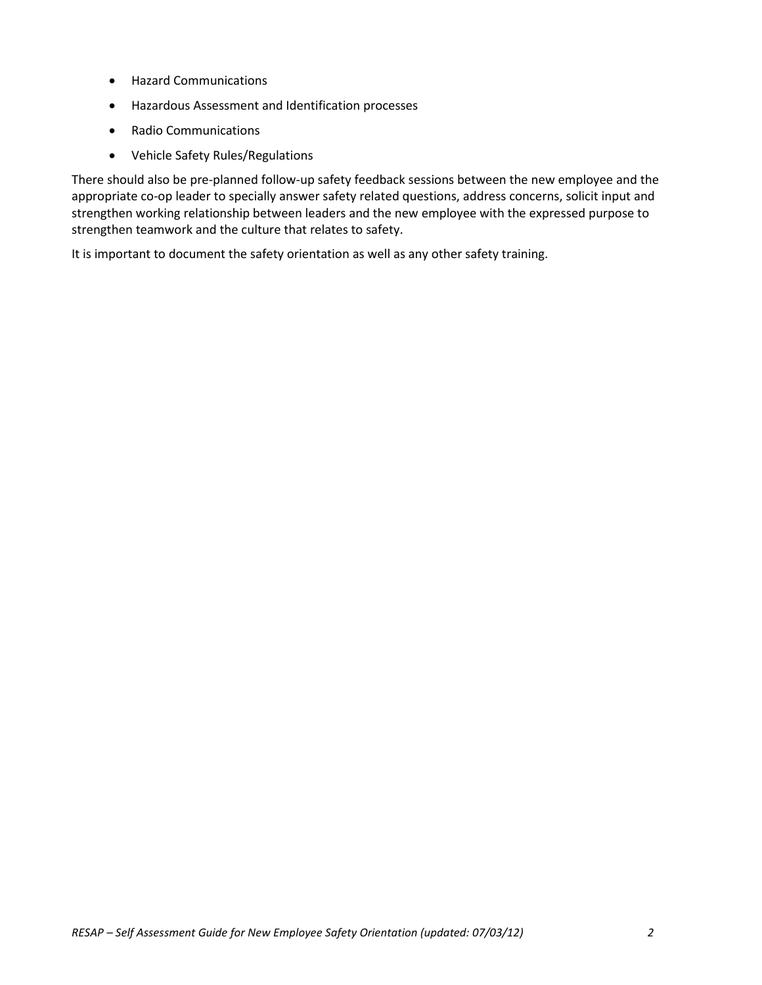- Hazard Communications
- Hazardous Assessment and Identification processes
- Radio Communications
- Vehicle Safety Rules/Regulations

There should also be pre-planned follow-up safety feedback sessions between the new employee and the appropriate co-op leader to specially answer safety related questions, address concerns, solicit input and strengthen working relationship between leaders and the new employee with the expressed purpose to strengthen teamwork and the culture that relates to safety.

It is important to document the safety orientation as well as any other safety training.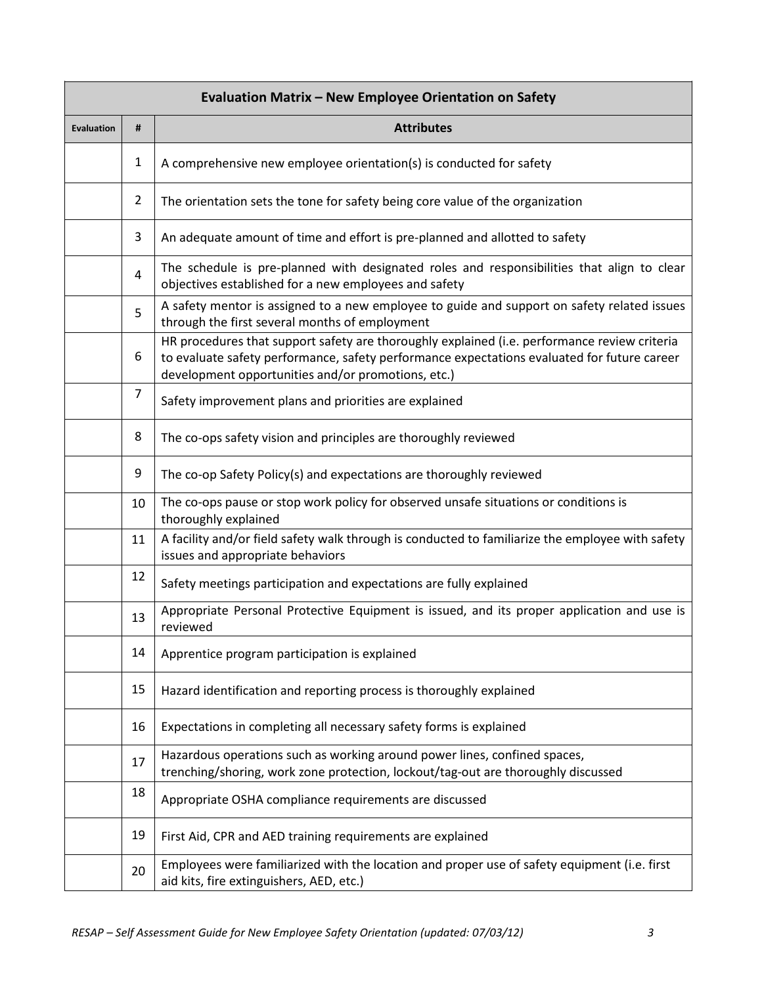| Evaluation Matrix - New Employee Orientation on Safety |                |                                                                                                                                                                                                                                                   |  |
|--------------------------------------------------------|----------------|---------------------------------------------------------------------------------------------------------------------------------------------------------------------------------------------------------------------------------------------------|--|
| <b>Evaluation</b>                                      | #              | <b>Attributes</b>                                                                                                                                                                                                                                 |  |
|                                                        | $\mathbf{1}$   | A comprehensive new employee orientation(s) is conducted for safety                                                                                                                                                                               |  |
|                                                        | $\overline{2}$ | The orientation sets the tone for safety being core value of the organization                                                                                                                                                                     |  |
|                                                        | 3              | An adequate amount of time and effort is pre-planned and allotted to safety                                                                                                                                                                       |  |
|                                                        | 4              | The schedule is pre-planned with designated roles and responsibilities that align to clear<br>objectives established for a new employees and safety                                                                                               |  |
|                                                        | 5              | A safety mentor is assigned to a new employee to guide and support on safety related issues<br>through the first several months of employment                                                                                                     |  |
|                                                        | 6              | HR procedures that support safety are thoroughly explained (i.e. performance review criteria<br>to evaluate safety performance, safety performance expectations evaluated for future career<br>development opportunities and/or promotions, etc.) |  |
|                                                        | $\overline{7}$ | Safety improvement plans and priorities are explained                                                                                                                                                                                             |  |
|                                                        | 8              | The co-ops safety vision and principles are thoroughly reviewed                                                                                                                                                                                   |  |
|                                                        | 9              | The co-op Safety Policy(s) and expectations are thoroughly reviewed                                                                                                                                                                               |  |
|                                                        | 10             | The co-ops pause or stop work policy for observed unsafe situations or conditions is<br>thoroughly explained                                                                                                                                      |  |
|                                                        | 11             | A facility and/or field safety walk through is conducted to familiarize the employee with safety<br>issues and appropriate behaviors                                                                                                              |  |
|                                                        | 12             | Safety meetings participation and expectations are fully explained                                                                                                                                                                                |  |
|                                                        | 13             | Appropriate Personal Protective Equipment is issued, and its proper application and use is<br>reviewed                                                                                                                                            |  |
|                                                        | 14             | Apprentice program participation is explained                                                                                                                                                                                                     |  |
|                                                        | 15             | Hazard identification and reporting process is thoroughly explained                                                                                                                                                                               |  |
|                                                        | 16             | Expectations in completing all necessary safety forms is explained                                                                                                                                                                                |  |
|                                                        | 17             | Hazardous operations such as working around power lines, confined spaces,<br>trenching/shoring, work zone protection, lockout/tag-out are thoroughly discussed                                                                                    |  |
|                                                        | 18             | Appropriate OSHA compliance requirements are discussed                                                                                                                                                                                            |  |
|                                                        | 19             | First Aid, CPR and AED training requirements are explained                                                                                                                                                                                        |  |
|                                                        | 20             | Employees were familiarized with the location and proper use of safety equipment (i.e. first<br>aid kits, fire extinguishers, AED, etc.)                                                                                                          |  |